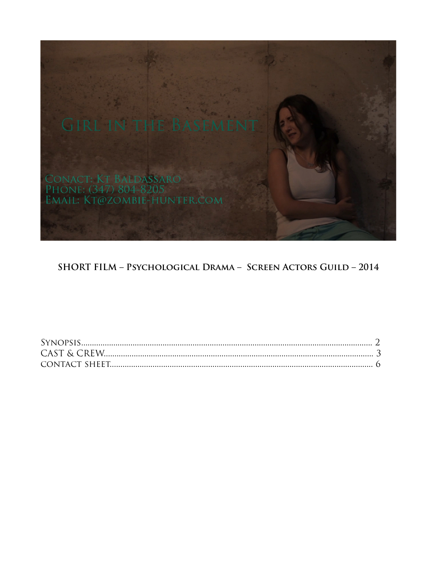

### SHORT FILM - PSYCHOLOGICAL DRAMA - SCREEN ACTORS GUILD - 2014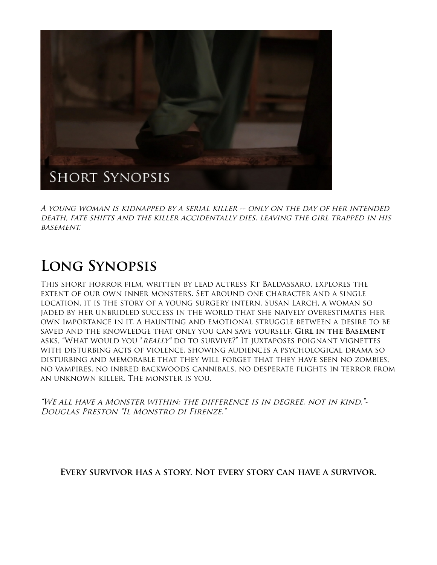

A young woman is kidnapped by a serial killer -- only on the day of her intended death, fate shifts and the killer accidentally dies, leaving the girl trapped in his **BASEMENT.** 

## **Long Synopsis**

This short horror film, written by lead actress Kt Baldassaro, explores the extent of our own inner monsters. Set around one character and a single location, it is the story of a young surgery intern, Susan Larch, a woman so jaded by her unbridled success in the world that she naively overestimates her own importance in it. A haunting and emotional struggle between a desire to be saved and the knowledge that only you can save yourself, **Girl in the Basement** asks, "What would you \*really\* do to survive?" It juxtaposes poignant vignettes with disturbing acts of violence, showing audiences a psychological drama so disturbing and memorable that they will forget that they have seen no zombies, no vampires, no inbred backwoods cannibals, no desperate flights in terror from an unknown killer. The monster is you.

"We all have a Monster within; the difference is in degree, not in kind."- Douglas Preston "Il Monstro di Firenze."

**Every survivor has a story. Not every story can have a survivor.**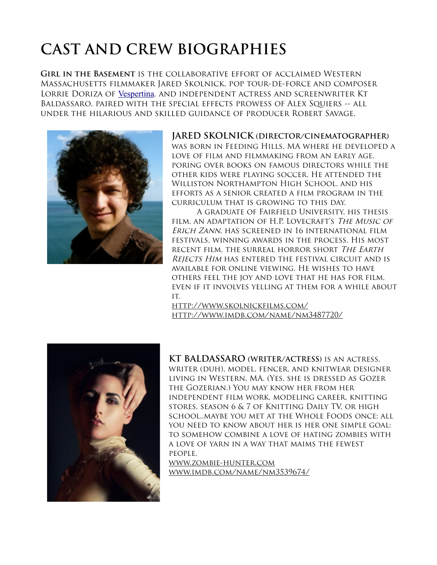# **CAST AND CREW BIOGRAPHIES**

**Girl in the Basement** is the collaborative effort of acclaimed Western Massachusetts filmmaker Jared Skolnick, pop tour-de-force and composer LORRIE DORIZA OF [Vespertina](http://vespertinamusic.com/), AND INDEPENDENT ACTRESS AND SCREENWRITER KT Baldassaro, paired with the special effects prowess of Alex Squiers -- all under the hilarious and skilled guidance of producer Robert Savage.



#### **JARED SKOLNICK (DIRECTOR/CINEMATOGRAPHER)**

was born in Feeding Hills, MA where he developed a love of film and filmmaking from an early age, poring over books on famous directors while the other kids were playing soccer. He attended the Williston Northampton High School, and his efforts as a senior created a film program in the curriculum that is growing to this day.

A graduate of Fairfield University, his thesis film, an adaptation of H.P. Lovecraft's The Music of Erich Zann, has screened in 16 international film festivals, winning awards in the process. His most recent film, the surreal horror short The Earth REJECTS HIM HAS ENTERED THE FESTIVAL CIRCUIT AND IS available for online viewing. He wishes to have others feel the joy and love that he has for film, even if it involves yelling at them for a while about it.

<http://www.skolnickfilms.com/> <http://www.imdb.com/name/nm3487720/>



**KT BALDASSARO (WRITER/ACTRESS)** is an actress, writer (duh), model, fencer, and knitwear designer living in Western, MA. (Yes, she is dressed as Gozer the Gozerian.) You may know her from her independent film work, modeling career, knitting stores, season 6 & 7 of Knitting Daily TV, or high school..maybe you met at the Whole Foods once; all you need to know about her is her one simple goal: to somehow combine a love of hating zombies with a love of yarn in a way that maims the fewest people.

[www.zombie-hunter.com](http://www.zombie-hunter.com/) [www.imdb.com/name/nm3539674/](http://www.imdb.com/name/nm3539674/)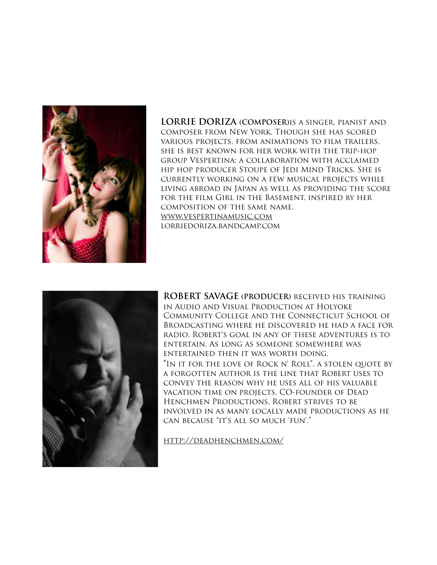

**LORRIE DORIZA (COMPOSER)**is a singer, pianist and composer from New York. Though she has scored various projects, from animations to film trailers, she is best known for her work with the trip-hop group Vespertina; a collaboration with acclaimed hip hop producer Stoupe of Jedi Mind Tricks. She is currently working on a few musical projects while living abroad in Japan as well as providing the score for the film Girl in the Basement, inspired by her composition of the same name. [www.vespertinamusic.com](http://www.vespertinamusic.com/) lorriedoriza.bandcamp.com



**ROBERT SAVAGE (PRODUCER)** received his training in Audio and Visual Production at Holyoke Community College and the Connecticut School of Broadcasting where he discovered he had a face for radio. Robert's goal in any of these adventures is to entertain. As long as someone somewhere was entertained then it was worth doing. "In it for the love of Rock n' Roll", a stolen quote by a forgotten author is the line that Robert uses to convey the reason why he uses all of his valuable vacation time on projects. CO-founder of Dead Henchmen Productions, Robert strives to be involved in as many locally made productions as he can because "it's all so much 'fun'."

<http://deadhenchmen.com/>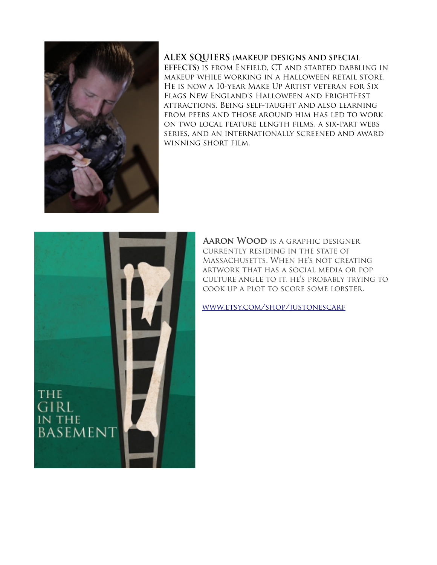

#### **ALEX SQUIERS (MAKEUP DESIGNS AND SPECIAL**

**EFFECTS)** is from Enfield, CT and started dabbling in makeup while working in a Halloween retail store. He is now a 10-year Make Up Artist veteran for Six Flags New England's Halloween and FrightFest attractions. Being self-taught and also learning from peers and those around him has led to work on two local feature length films, a six-part webs series, and an internationally screened and award winning short film.



 **Aaron Wood** is a graphic designer currently residing in the state of Massachusetts. When he's not creating artwork that has a social media or pop culture angle to it, he's probably trying to cook up a plot to score some lobster.

[www.etsy.com/shop/justonescarf](http://www.etsy.com/shop/justonescarf)